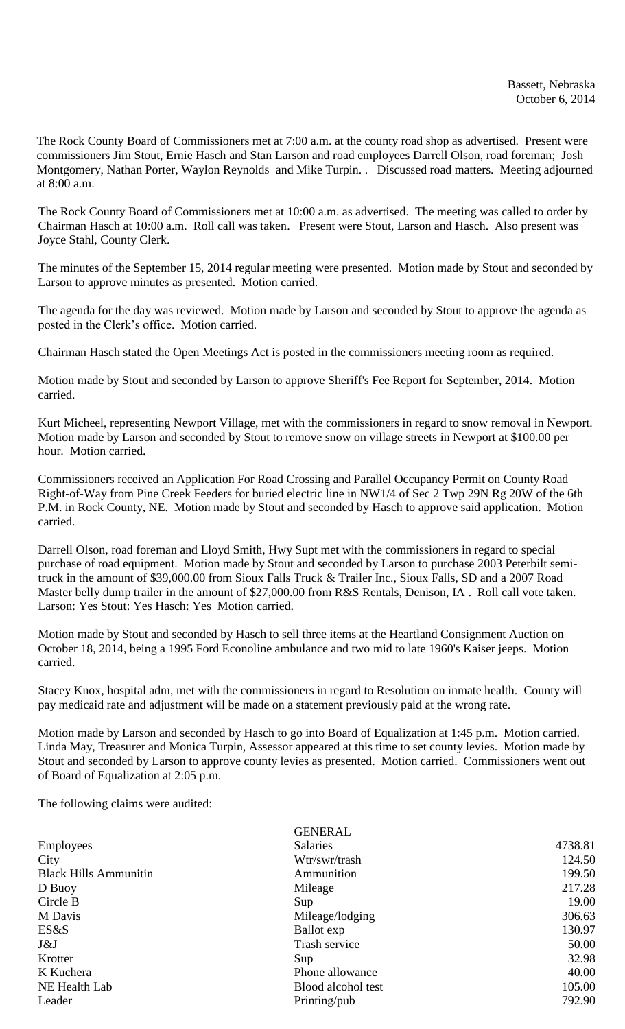The Rock County Board of Commissioners met at 7:00 a.m. at the county road shop as advertised. Present were commissioners Jim Stout, Ernie Hasch and Stan Larson and road employees Darrell Olson, road foreman; Josh Montgomery, Nathan Porter, Waylon Reynolds and Mike Turpin. . Discussed road matters. Meeting adjourned at 8:00 a.m.

The Rock County Board of Commissioners met at 10:00 a.m. as advertised. The meeting was called to order by Chairman Hasch at 10:00 a.m. Roll call was taken. Present were Stout, Larson and Hasch. Also present was Joyce Stahl, County Clerk.

The minutes of the September 15, 2014 regular meeting were presented. Motion made by Stout and seconded by Larson to approve minutes as presented. Motion carried.

The agenda for the day was reviewed. Motion made by Larson and seconded by Stout to approve the agenda as posted in the Clerk's office. Motion carried.

Chairman Hasch stated the Open Meetings Act is posted in the commissioners meeting room as required.

Motion made by Stout and seconded by Larson to approve Sheriff's Fee Report for September, 2014. Motion carried.

Kurt Micheel, representing Newport Village, met with the commissioners in regard to snow removal in Newport. Motion made by Larson and seconded by Stout to remove snow on village streets in Newport at \$100.00 per hour. Motion carried.

Commissioners received an Application For Road Crossing and Parallel Occupancy Permit on County Road Right-of-Way from Pine Creek Feeders for buried electric line in NW1/4 of Sec 2 Twp 29N Rg 20W of the 6th P.M. in Rock County, NE. Motion made by Stout and seconded by Hasch to approve said application. Motion carried.

Darrell Olson, road foreman and Lloyd Smith, Hwy Supt met with the commissioners in regard to special purchase of road equipment. Motion made by Stout and seconded by Larson to purchase 2003 Peterbilt semitruck in the amount of \$39,000.00 from Sioux Falls Truck & Trailer Inc., Sioux Falls, SD and a 2007 Road Master belly dump trailer in the amount of \$27,000.00 from R&S Rentals, Denison, IA. Roll call vote taken. Larson: Yes Stout: Yes Hasch: Yes Motion carried.

Motion made by Stout and seconded by Hasch to sell three items at the Heartland Consignment Auction on October 18, 2014, being a 1995 Ford Econoline ambulance and two mid to late 1960's Kaiser jeeps. Motion carried.

Stacey Knox, hospital adm, met with the commissioners in regard to Resolution on inmate health. County will pay medicaid rate and adjustment will be made on a statement previously paid at the wrong rate.

Motion made by Larson and seconded by Hasch to go into Board of Equalization at 1:45 p.m. Motion carried. Linda May, Treasurer and Monica Turpin, Assessor appeared at this time to set county levies. Motion made by Stout and seconded by Larson to approve county levies as presented. Motion carried. Commissioners went out of Board of Equalization at 2:05 p.m.

The following claims were audited:

|                              | <b>GENERAL</b>     |         |
|------------------------------|--------------------|---------|
| Employees                    | <b>Salaries</b>    | 4738.81 |
| City                         | Wtr/swr/trash      | 124.50  |
| <b>Black Hills Ammunitin</b> | Ammunition         | 199.50  |
| D Buoy                       | Mileage            | 217.28  |
| Circle B                     | Sup                | 19.00   |
| M Davis                      | Mileage/lodging    | 306.63  |
| ES&S                         | Ballot exp         | 130.97  |
| J&J                          | Trash service      | 50.00   |
| Krotter                      | Sup                | 32.98   |
| K Kuchera                    | Phone allowance    | 40.00   |
| NE Health Lab                | Blood alcohol test | 105.00  |
| Leader                       | Printing/pub       | 792.90  |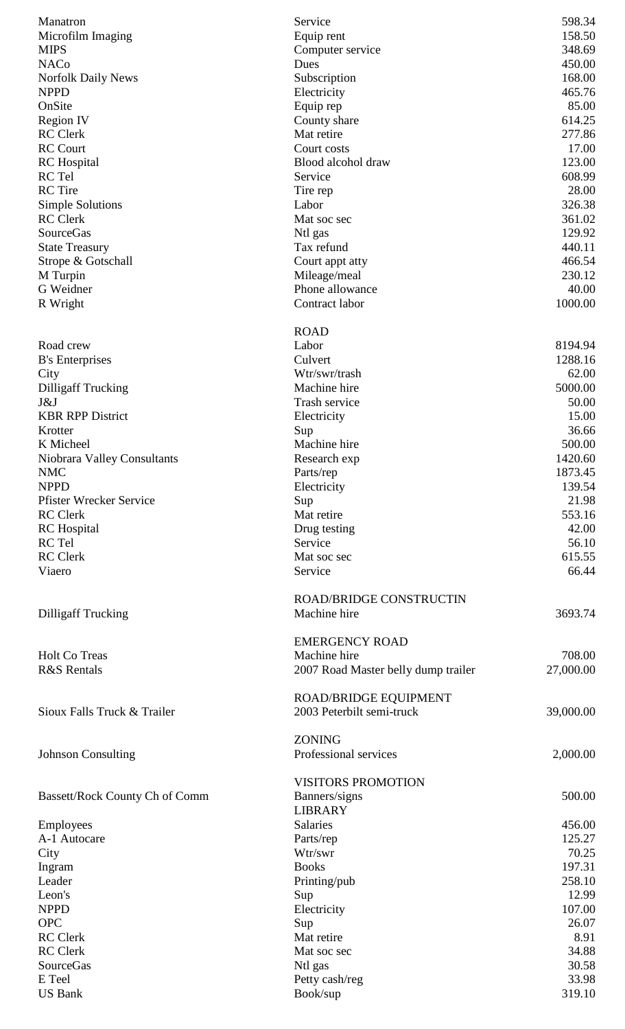| Manatron                       | Service                             | 598.34           |
|--------------------------------|-------------------------------------|------------------|
| Microfilm Imaging              | Equip rent                          | 158.50           |
| <b>MIPS</b>                    | Computer service                    | 348.69           |
| <b>NACo</b>                    | Dues                                | 450.00           |
| <b>Norfolk Daily News</b>      | Subscription                        | 168.00           |
| <b>NPPD</b>                    | Electricity                         | 465.76           |
| OnSite                         | Equip rep                           | 85.00            |
| Region IV<br><b>RC</b> Clerk   | County share<br>Mat retire          | 614.25<br>277.86 |
| <b>RC</b> Court                | Court costs                         | 17.00            |
| <b>RC</b> Hospital             | Blood alcohol draw                  | 123.00           |
| RC Tel                         | Service                             | 608.99           |
| <b>RC</b> Tire                 | Tire rep                            | 28.00            |
| <b>Simple Solutions</b>        | Labor                               | 326.38           |
| <b>RC</b> Clerk                | Mat soc sec                         | 361.02           |
| <b>SourceGas</b>               | Ntl gas                             | 129.92           |
| <b>State Treasury</b>          | Tax refund                          | 440.11           |
| Strope & Gotschall             | Court appt atty                     | 466.54           |
| M Turpin                       | Mileage/meal                        | 230.12           |
| G Weidner                      | Phone allowance                     | 40.00            |
| R Wright                       | Contract labor                      | 1000.00          |
|                                | <b>ROAD</b>                         |                  |
| Road crew                      | Labor                               | 8194.94          |
| <b>B's Enterprises</b>         | Culvert                             | 1288.16          |
| City                           | Wtr/swr/trash                       | 62.00            |
| <b>Dilligaff Trucking</b>      | Machine hire                        | 5000.00          |
| J&J                            | Trash service                       | 50.00            |
| <b>KBR RPP District</b>        | Electricity                         | 15.00            |
| Krotter<br>K Micheel           | Sup<br>Machine hire                 | 36.66<br>500.00  |
| Niobrara Valley Consultants    | Research exp                        | 1420.60          |
| <b>NMC</b>                     | Parts/rep                           | 1873.45          |
| <b>NPPD</b>                    | Electricity                         | 139.54           |
| <b>Pfister Wrecker Service</b> | Sup                                 | 21.98            |
| <b>RC</b> Clerk                | Mat retire                          | 553.16           |
| <b>RC</b> Hospital             | Drug testing                        | 42.00            |
| RC Tel                         | Service                             | 56.10            |
| <b>RC</b> Clerk                | Mat soc sec                         | 615.55           |
| Viaero                         | Service                             | 66.44            |
|                                | <b>ROAD/BRIDGE CONSTRUCTIN</b>      |                  |
| <b>Dilligaff Trucking</b>      | Machine hire                        | 3693.74          |
|                                | <b>EMERGENCY ROAD</b>               |                  |
| Holt Co Treas                  | Machine hire                        | 708.00           |
| <b>R&amp;S</b> Rentals         | 2007 Road Master belly dump trailer | 27,000.00        |
|                                |                                     |                  |
|                                | <b>ROAD/BRIDGE EQUIPMENT</b>        |                  |
| Sioux Falls Truck & Trailer    | 2003 Peterbilt semi-truck           | 39,000.00        |
|                                | <b>ZONING</b>                       |                  |
| <b>Johnson Consulting</b>      | Professional services               | 2,000.00         |
|                                |                                     |                  |
|                                | <b>VISITORS PROMOTION</b>           |                  |
| Bassett/Rock County Ch of Comm | Banners/signs                       | 500.00           |
|                                | <b>LIBRARY</b>                      |                  |
| Employees                      | Salaries                            | 456.00           |
| A-1 Autocare                   | Parts/rep<br>Wtr/swr                | 125.27           |
| City                           | <b>Books</b>                        | 70.25<br>197.31  |
| Ingram<br>Leader               | Printing/pub                        | 258.10           |
| Leon's                         | Sup                                 | 12.99            |
| <b>NPPD</b>                    | Electricity                         | 107.00           |
| <b>OPC</b>                     | Sup                                 | 26.07            |
| <b>RC</b> Clerk                | Mat retire                          | 8.91             |
| <b>RC</b> Clerk                | Mat soc sec                         | 34.88            |
| SourceGas                      | Ntl gas                             | 30.58            |
| E Teel                         | Petty cash/reg                      | 33.98            |
| <b>US Bank</b>                 | Book/sup                            | 319.10           |